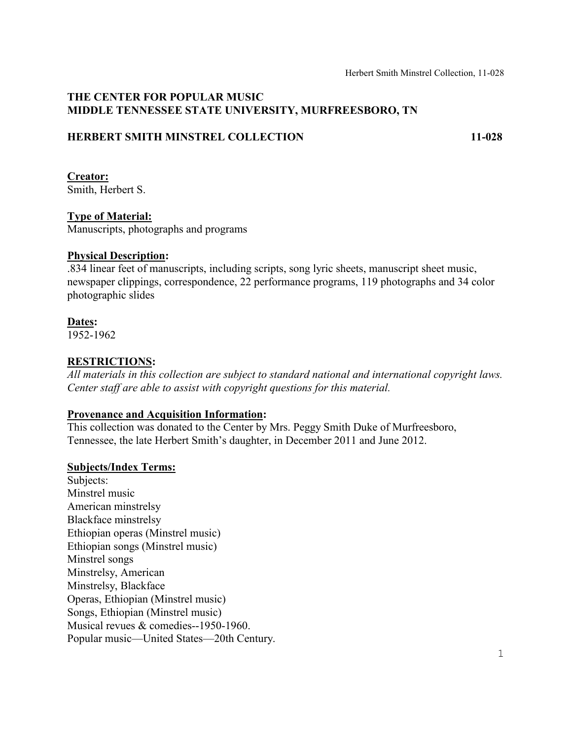## **THE CENTER FOR POPULAR MUSIC MIDDLE TENNESSEE STATE UNIVERSITY, MURFREESBORO, TN**

## **HERBERT SMITH MINSTREL COLLECTION 11-028**

# **Creator:**

Smith, Herbert S.

## **Type of Material:**

Manuscripts, photographs and programs

#### **Physical Description:**

.834 linear feet of manuscripts, including scripts, song lyric sheets, manuscript sheet music, newspaper clippings, correspondence, 22 performance programs, 119 photographs and 34 color photographic slides

## **Dates:**

1952-1962

# **RESTRICTIONS:**

*All materials in this collection are subject to standard national and international copyright laws. Center staff are able to assist with copyright questions for this material.*

## **Provenance and Acquisition Information:**

This collection was donated to the Center by Mrs. Peggy Smith Duke of Murfreesboro, Tennessee, the late Herbert Smith's daughter, in December 2011 and June 2012.

## **Subjects/Index Terms:**

Subjects: Minstrel music American minstrelsy Blackface minstrelsy Ethiopian operas (Minstrel music) Ethiopian songs (Minstrel music) Minstrel songs Minstrelsy, American Minstrelsy, Blackface Operas, Ethiopian (Minstrel music) Songs, Ethiopian (Minstrel music) Musical revues & comedies--1950-1960. Popular music—United States—20th Century.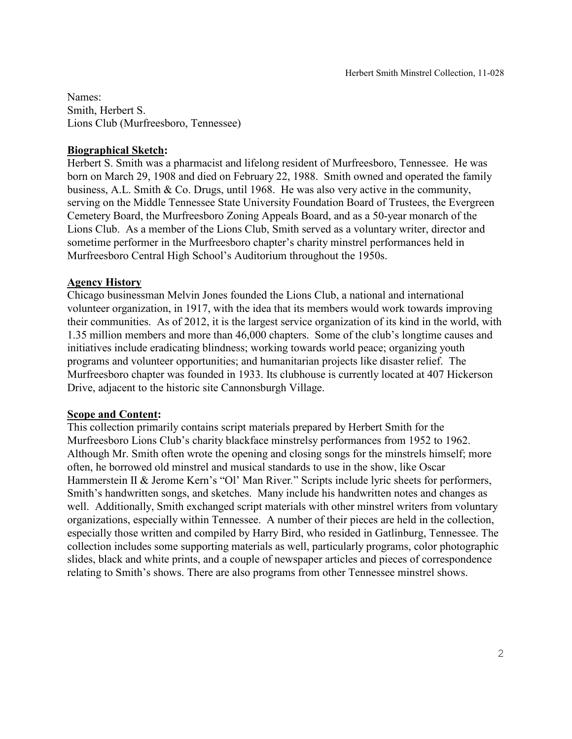Names: Smith, Herbert S. Lions Club (Murfreesboro, Tennessee)

#### **Biographical Sketch:**

Herbert S. Smith was a pharmacist and lifelong resident of Murfreesboro, Tennessee. He was born on March 29, 1908 and died on February 22, 1988. Smith owned and operated the family business, A.L. Smith & Co. Drugs, until 1968. He was also very active in the community, serving on the Middle Tennessee State University Foundation Board of Trustees, the Evergreen Cemetery Board, the Murfreesboro Zoning Appeals Board, and as a 50-year monarch of the Lions Club. As a member of the Lions Club, Smith served as a voluntary writer, director and sometime performer in the Murfreesboro chapter's charity minstrel performances held in Murfreesboro Central High School's Auditorium throughout the 1950s.

### **Agency History**

Chicago businessman Melvin Jones founded the Lions Club, a national and international volunteer organization, in 1917, with the idea that its members would work towards improving their communities. As of 2012, it is the largest service organization of its kind in the world, with 1.35 million members and more than 46,000 chapters. Some of the club's longtime causes and initiatives include eradicating blindness; working towards world peace; organizing youth programs and volunteer opportunities; and humanitarian projects like disaster relief. The Murfreesboro chapter was founded in 1933. Its clubhouse is currently located at 407 Hickerson Drive, adjacent to the historic site Cannonsburgh Village.

## **Scope and Content:**

This collection primarily contains script materials prepared by Herbert Smith for the Murfreesboro Lions Club's charity blackface minstrelsy performances from 1952 to 1962. Although Mr. Smith often wrote the opening and closing songs for the minstrels himself; more often, he borrowed old minstrel and musical standards to use in the show, like Oscar Hammerstein II & Jerome Kern's "Ol' Man River*.*" Scripts include lyric sheets for performers, Smith's handwritten songs, and sketches. Many include his handwritten notes and changes as well. Additionally, Smith exchanged script materials with other minstrel writers from voluntary organizations, especially within Tennessee. A number of their pieces are held in the collection, especially those written and compiled by Harry Bird, who resided in Gatlinburg, Tennessee. The collection includes some supporting materials as well, particularly programs, color photographic slides, black and white prints, and a couple of newspaper articles and pieces of correspondence relating to Smith's shows. There are also programs from other Tennessee minstrel shows.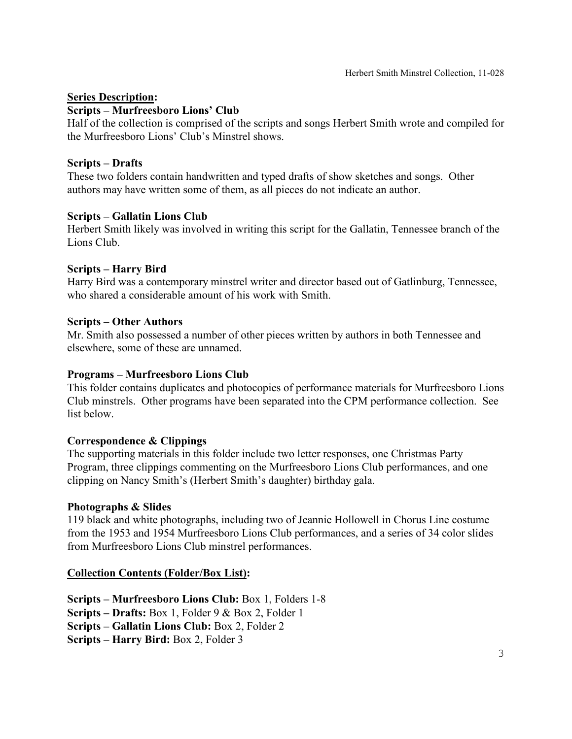#### **Series Description:**

#### **Scripts – Murfreesboro Lions' Club**

Half of the collection is comprised of the scripts and songs Herbert Smith wrote and compiled for the Murfreesboro Lions' Club's Minstrel shows.

#### **Scripts – Drafts**

These two folders contain handwritten and typed drafts of show sketches and songs. Other authors may have written some of them, as all pieces do not indicate an author.

#### **Scripts – Gallatin Lions Club**

Herbert Smith likely was involved in writing this script for the Gallatin, Tennessee branch of the Lions Club.

#### **Scripts – Harry Bird**

Harry Bird was a contemporary minstrel writer and director based out of Gatlinburg, Tennessee, who shared a considerable amount of his work with Smith.

#### **Scripts – Other Authors**

Mr. Smith also possessed a number of other pieces written by authors in both Tennessee and elsewhere, some of these are unnamed.

#### **Programs – Murfreesboro Lions Club**

This folder contains duplicates and photocopies of performance materials for Murfreesboro Lions Club minstrels. Other programs have been separated into the CPM performance collection. See list below.

#### **Correspondence & Clippings**

The supporting materials in this folder include two letter responses, one Christmas Party Program, three clippings commenting on the Murfreesboro Lions Club performances, and one clipping on Nancy Smith's (Herbert Smith's daughter) birthday gala.

#### **Photographs & Slides**

119 black and white photographs, including two of Jeannie Hollowell in Chorus Line costume from the 1953 and 1954 Murfreesboro Lions Club performances, and a series of 34 color slides from Murfreesboro Lions Club minstrel performances.

#### **Collection Contents (Folder/Box List):**

**Scripts – Murfreesboro Lions Club:** Box 1, Folders 1-8 **Scripts – Drafts:** Box 1, Folder 9 & Box 2, Folder 1 **Scripts – Gallatin Lions Club:** Box 2, Folder 2 **Scripts – Harry Bird:** Box 2, Folder 3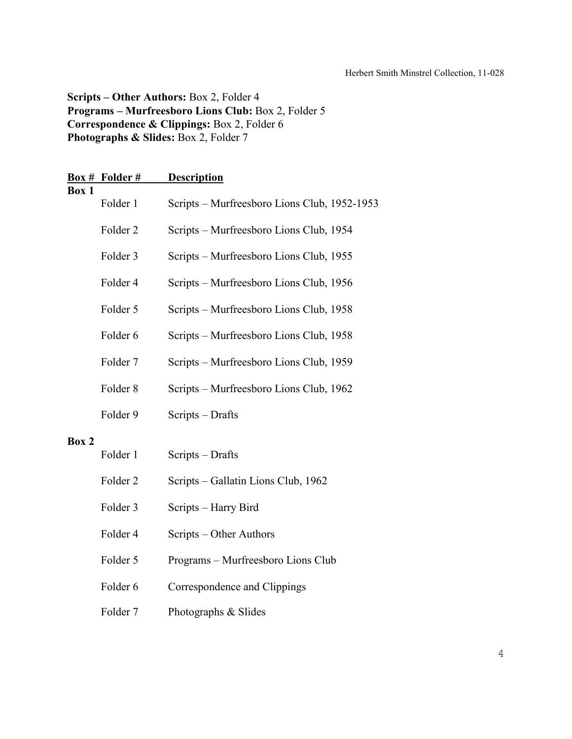**Scripts – Other Authors:** Box 2, Folder 4 **Programs – Murfreesboro Lions Club:** Box 2, Folder 5 **Correspondence & Clippings:** Box 2, Folder 6 Photographs & Slides: Box 2, Folder 7

|       | Box # Folder #      | <b>Description</b>                           |
|-------|---------------------|----------------------------------------------|
| Box 1 | Folder 1            | Scripts – Murfreesboro Lions Club, 1952-1953 |
|       | Folder <sub>2</sub> | Scripts - Murfreesboro Lions Club, 1954      |
|       | Folder 3            | Scripts - Murfreesboro Lions Club, 1955      |
|       | Folder 4            | Scripts - Murfreesboro Lions Club, 1956      |
|       | Folder 5            | Scripts - Murfreesboro Lions Club, 1958      |
|       | Folder 6            | Scripts - Murfreesboro Lions Club, 1958      |
|       | Folder 7            | Scripts - Murfreesboro Lions Club, 1959      |
|       | Folder <sub>8</sub> | Scripts - Murfreesboro Lions Club, 1962      |
|       | Folder 9            | Scripts - Drafts                             |
| Box 2 |                     |                                              |
|       | Folder 1            | Scripts - Drafts                             |
|       | Folder <sub>2</sub> | Scripts - Gallatin Lions Club, 1962          |
|       | Folder 3            | Scripts - Harry Bird                         |
|       | Folder 4            | Scripts – Other Authors                      |
|       | Folder 5            | Programs - Murfreesboro Lions Club           |
|       | Folder 6            | Correspondence and Clippings                 |
|       | Folder 7            | Photographs & Slides                         |